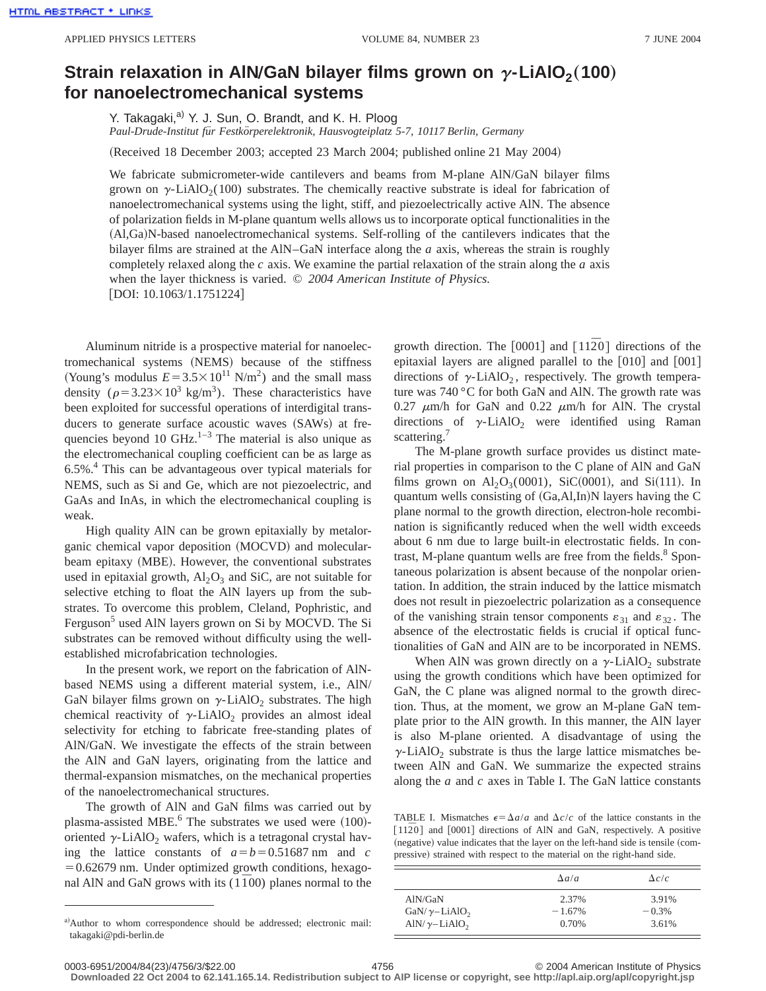## **Strain relaxation in AIN/GaN bilayer films grown on**  $\gamma$ **-LiAlO<sub>2</sub>(100) for nanoelectromechanical systems**

Y. Takagaki,<sup>a)</sup> Y. J. Sun, O. Brandt, and K. H. Ploog *Paul-Drude-Institut fu¨r Festko¨rperelektronik, Hausvogteiplatz 5-7, 10117 Berlin, Germany*

(Received 18 December 2003; accepted 23 March 2004; published online 21 May 2004)

We fabricate submicrometer-wide cantilevers and beams from M-plane AlN/GaN bilayer films grown on  $\gamma$ -LiAlO<sub>2</sub>(100) substrates. The chemically reactive substrate is ideal for fabrication of nanoelectromechanical systems using the light, stiff, and piezoelectrically active AlN. The absence of polarization fields in M-plane quantum wells allows us to incorporate optical functionalities in the ~Al,Ga!N-based nanoelectromechanical systems. Self-rolling of the cantilevers indicates that the bilayer films are strained at the AlN–GaN interface along the *a* axis, whereas the strain is roughly completely relaxed along the *c* axis. We examine the partial relaxation of the strain along the *a* axis when the layer thickness is varied. © *2004 American Institute of Physics.*  $[DOI: 10.1063/1.1751224]$ 

Aluminum nitride is a prospective material for nanoelectromechanical systems (NEMS) because of the stiffness (Young's modulus  $E = 3.5 \times 10^{11}$  N/m<sup>2</sup>) and the small mass density ( $\rho = 3.23 \times 10^3$  kg/m<sup>3</sup>). These characteristics have been exploited for successful operations of interdigital transducers to generate surface acoustic waves (SAWs) at frequencies beyond 10 GHz. $1-3$  The material is also unique as the electromechanical coupling coefficient can be as large as 6.5%.4 This can be advantageous over typical materials for NEMS, such as Si and Ge, which are not piezoelectric, and GaAs and InAs, in which the electromechanical coupling is weak.

High quality AlN can be grown epitaxially by metalorganic chemical vapor deposition (MOCVD) and molecularbeam epitaxy (MBE). However, the conventional substrates used in epitaxial growth,  $Al_2O_3$  and SiC, are not suitable for selective etching to float the AlN layers up from the substrates. To overcome this problem, Cleland, Pophristic, and Ferguson<sup>5</sup> used AlN layers grown on Si by MOCVD. The Si substrates can be removed without difficulty using the wellestablished microfabrication technologies.

In the present work, we report on the fabrication of AlNbased NEMS using a different material system, i.e., AlN/ GaN bilayer films grown on  $\gamma$ -LiAlO<sub>2</sub> substrates. The high chemical reactivity of  $\gamma$ -LiAlO<sub>2</sub> provides an almost ideal selectivity for etching to fabricate free-standing plates of AlN/GaN. We investigate the effects of the strain between the AlN and GaN layers, originating from the lattice and thermal-expansion mismatches, on the mechanical properties of the nanoelectromechanical structures.

The growth of AlN and GaN films was carried out by plasma-assisted MBE. $<sup>6</sup>$  The substrates we used were  $(100)$ -</sup> oriented  $\gamma$ -LiAlO<sub>2</sub> wafers, which is a tetragonal crystal having the lattice constants of  $a=b=0.51687$  nm and *c*  $=0.62679$  nm. Under optimized growth conditions, hexagonal AlN and GaN grows with its  $(1\bar{1}00)$  planes normal to the growth direction. The  $[0001]$  and  $[11\overline{2}0]$  directions of the epitaxial layers are aligned parallel to the  $[010]$  and  $[001]$ directions of  $\gamma$ -LiAlO<sub>2</sub>, respectively. The growth temperature was 740 °C for both GaN and AlN. The growth rate was 0.27  $\mu$ m/h for GaN and 0.22  $\mu$ m/h for AlN. The crystal directions of  $\gamma$ -LiAlO<sub>2</sub> were identified using Raman scattering.<sup>7</sup>

The M-plane growth surface provides us distinct material properties in comparison to the C plane of AlN and GaN films grown on  $Al_2O_3(0001)$ , SiC(0001), and Si(111). In quantum wells consisting of  $(Ga, A1, In)N$  layers having the C plane normal to the growth direction, electron-hole recombination is significantly reduced when the well width exceeds about 6 nm due to large built-in electrostatic fields. In contrast, M-plane quantum wells are free from the fields. $8$  Spontaneous polarization is absent because of the nonpolar orientation. In addition, the strain induced by the lattice mismatch does not result in piezoelectric polarization as a consequence of the vanishing strain tensor components  $\varepsilon_{31}$  and  $\varepsilon_{32}$ . The absence of the electrostatic fields is crucial if optical functionalities of GaN and AlN are to be incorporated in NEMS.

When AlN was grown directly on a  $\gamma$ -LiAlO<sub>2</sub> substrate using the growth conditions which have been optimized for GaN, the C plane was aligned normal to the growth direction. Thus, at the moment, we grow an M-plane GaN template prior to the AlN growth. In this manner, the AlN layer is also M-plane oriented. A disadvantage of using the  $\gamma$ -LiAlO<sub>2</sub> substrate is thus the large lattice mismatches between AlN and GaN. We summarize the expected strains along the *a* and *c* axes in Table I. The GaN lattice constants

TABLE I. Mismatches  $\epsilon = \Delta a/a$  and  $\Delta c/c$  of the lattice constants in the  $\lceil 11\bar{2}0 \rceil$  and  $\lceil 0001 \rceil$  directions of AlN and GaN, respectively. A positive  $(negative)$  value indicates that the layer on the left-hand side is tensile  $(com$ pressive) strained with respect to the material on the right-hand side.

|                                   | $\Delta a/a$ | $\Delta c/c$ |  |  |
|-----------------------------------|--------------|--------------|--|--|
| AlN/GaN                           | 2.37%        | 3.91%        |  |  |
| GaN/ $\gamma$ -LiAlO <sub>2</sub> | $-1.67\%$    | $-0.3%$      |  |  |
| AlN/ $\gamma$ -LiAlO <sub>2</sub> | 0.70%        | 3.61%        |  |  |

**Downloaded 22 Oct 2004 to 62.141.165.14. Redistribution subject to AIP license or copyright, see http://apl.aip.org/apl/copyright.jsp**

a)Author to whom correspondence should be addressed; electronic mail: takagaki@pdi-berlin.de

<sup>0003-6951/2004/84(23)/4756/3/\$22.00 © 2004</sup> American Institute of Physics 4756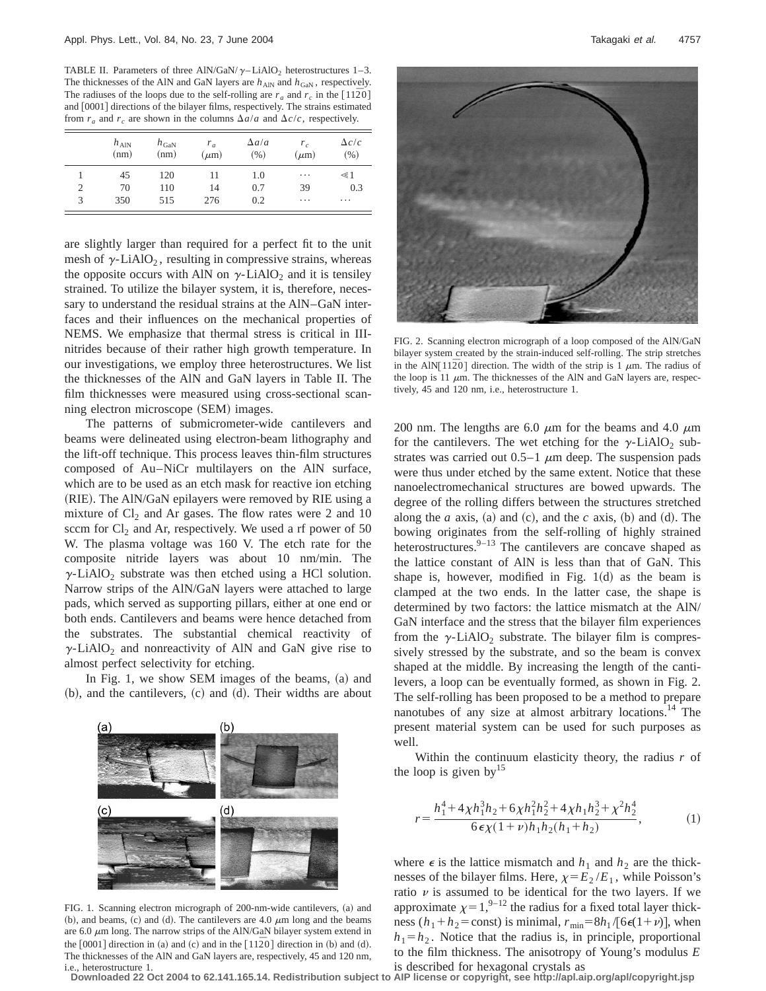TABLE II. Parameters of three AlN/GaN/ $\gamma$ –LiAlO<sub>2</sub> heterostructures 1–3. The thicknesses of the AlN and GaN layers are  $h_{\text{AIN}}$  and  $h_{\text{GAN}}$ , respectively. The radiuses of the loops due to the self-rolling are  $r_a$  and  $r_c$  in the  $[11\overline{2}0]$ and [0001] directions of the bilayer films, respectively. The strains estimated from  $r_a$  and  $r_c$  are shown in the columns  $\Delta a/a$  and  $\Delta c/c$ , respectively.

|   | $h_{\text{AlN}}$<br>(nm) | $h_{\text{GaN}}$<br>(nm) | $r_a$<br>$(\mu m)$ | $\Delta a/a$<br>(96) | $r_c$<br>$(\mu m)$ | $\Delta c/c$<br>(96) |
|---|--------------------------|--------------------------|--------------------|----------------------|--------------------|----------------------|
|   | 45                       | 120                      | 11                 | 1.0                  | $\cdots$           | $\leq 1$             |
| 2 | 70                       | 110                      | 14                 | 0.7                  | 39                 | 0.3                  |
| 3 | 350                      | 515                      | 276                | 0.2                  | $\cdots$           | .                    |

are slightly larger than required for a perfect fit to the unit mesh of  $\gamma$ -LiAlO<sub>2</sub>, resulting in compressive strains, whereas the opposite occurs with AlN on  $\gamma$ -LiAlO<sub>2</sub> and it is tensiley strained. To utilize the bilayer system, it is, therefore, necessary to understand the residual strains at the AlN–GaN interfaces and their influences on the mechanical properties of NEMS. We emphasize that thermal stress is critical in IIInitrides because of their rather high growth temperature. In our investigations, we employ three heterostructures. We list the thicknesses of the AlN and GaN layers in Table II. The film thicknesses were measured using cross-sectional scanning electron microscope (SEM) images.

The patterns of submicrometer-wide cantilevers and beams were delineated using electron-beam lithography and the lift-off technique. This process leaves thin-film structures composed of Au–NiCr multilayers on the AlN surface, which are to be used as an etch mask for reactive ion etching (RIE). The AlN/GaN epilayers were removed by RIE using a mixture of  $Cl_2$  and Ar gases. The flow rates were 2 and 10 sccm for  $Cl_2$  and Ar, respectively. We used a rf power of 50 W. The plasma voltage was 160 V. The etch rate for the composite nitride layers was about 10 nm/min. The  $\gamma$ -LiAlO<sub>2</sub> substrate was then etched using a HCl solution. Narrow strips of the AlN/GaN layers were attached to large pads, which served as supporting pillars, either at one end or both ends. Cantilevers and beams were hence detached from the substrates. The substantial chemical reactivity of  $\gamma$ -LiAlO<sub>2</sub> and nonreactivity of AlN and GaN give rise to almost perfect selectivity for etching.

In Fig. 1, we show SEM images of the beams,  $(a)$  and  $(b)$ , and the cantilevers,  $(c)$  and  $(d)$ . Their widths are about



FIG. 1. Scanning electron micrograph of 200-nm-wide cantilevers, (a) and (b), and beams, (c) and (d). The cantilevers are 4.0  $\mu$ m long and the beams are 6.0  $\mu$ m long. The narrow strips of the AlN/GaN bilayer system extend in the  $[0001]$  direction in (a) and (c) and in the  $[11\overline{2}0]$  direction in (b) and (d). The thicknesses of the AlN and GaN layers are, respectively, 45 and 120 nm, i.e., heterostructure 1.



FIG. 2. Scanning electron micrograph of a loop composed of the AlN/GaN bilayer system created by the strain-induced self-rolling. The strip stretches in the AlN $\left[11\overline{2}0\right]$  direction. The width of the strip is 1  $\mu$ m. The radius of the loop is 11  $\mu$ m. The thicknesses of the AlN and GaN layers are, respectively, 45 and 120 nm, i.e., heterostructure 1.

200 nm. The lengths are 6.0  $\mu$ m for the beams and 4.0  $\mu$ m for the cantilevers. The wet etching for the  $\gamma$ -LiAlO<sub>2</sub> substrates was carried out  $0.5-1$   $\mu$ m deep. The suspension pads were thus under etched by the same extent. Notice that these nanoelectromechanical structures are bowed upwards. The degree of the rolling differs between the structures stretched along the *a* axis, (a) and (c), and the *c* axis, (b) and (d). The bowing originates from the self-rolling of highly strained heterostructures. $9-13$  The cantilevers are concave shaped as the lattice constant of AlN is less than that of GaN. This shape is, however, modified in Fig.  $1(d)$  as the beam is clamped at the two ends. In the latter case, the shape is determined by two factors: the lattice mismatch at the AlN/ GaN interface and the stress that the bilayer film experiences from the  $\gamma$ -LiAlO<sub>2</sub> substrate. The bilayer film is compressively stressed by the substrate, and so the beam is convex shaped at the middle. By increasing the length of the cantilevers, a loop can be eventually formed, as shown in Fig. 2. The self-rolling has been proposed to be a method to prepare nanotubes of any size at almost arbitrary locations.<sup>14</sup> The present material system can be used for such purposes as well.

Within the continuum elasticity theory, the radius *r* of the loop is given by  $15$ 

$$
r = \frac{h_1^4 + 4\chi h_1^3 h_2 + 6\chi h_1^2 h_2^2 + 4\chi h_1 h_2^3 + \chi^2 h_2^4}{6\epsilon \chi (1 + \nu) h_1 h_2 (h_1 + h_2)},
$$
 (1)

where  $\epsilon$  is the lattice mismatch and  $h_1$  and  $h_2$  are the thicknesses of the bilayer films. Here,  $\chi = E_2 / E_1$ , while Poisson's ratio  $\nu$  is assumed to be identical for the two layers. If we approximate  $\chi=1,^{9-12}$  the radius for a fixed total layer thickness  $(h_1 + h_2 = \text{const})$  is minimal,  $r_{\text{min}} = 8h_1 / [6\epsilon(1+\nu)]$ , when  $h_1 = h_2$ . Notice that the radius is, in principle, proportional to the film thickness. The anisotropy of Young's modulus *E* is described for hexagonal crystals as

**Downloaded 22 Oct 2004 to 62.141.165.14. Redistribution subject to AIP license or copyright, see http://apl.aip.org/apl/copyright.jsp**